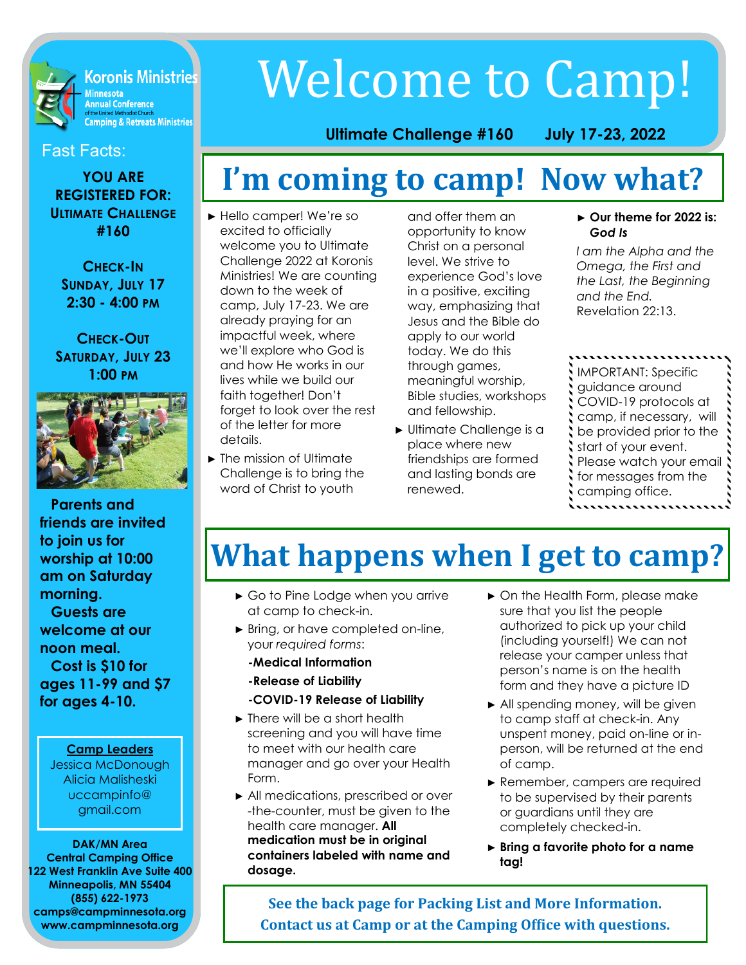**Koronis Ministries** Minnesota<br>Annual Conference or the United Methodist Church<br>Camping & Retreats Ministries

#### Fast Facts:

**YOU ARE REGISTERED FOR: ULTIMATE CHALLENGE #160**

**CHECK-IN SUNDAY, JULY 17 2:30 - 4:00 PM**

**CHECK-OUT SATURDAY, JULY 23 1:00 PM**



**Parents and friends are invited to join us for worship at 10:00 am on Saturday morning.** 

**Guests are welcome at our noon meal. Cost is \$10 for ages 11-99 and \$7 for ages 4-10.**

#### **Camp Leaders**

Jessica McDonough Alicia Malisheski uccampinfo@ gmail.com

#### **DAK/MN Area Central Camping Office 122 West Franklin Ave Suite 400 Minneapolis, MN 55404 (855) 622-1973 camps@campminnesota.org www.campminnesota.org**

# Welcome to Camp!

#### **Ultimate Challenge #160 July 17-23, 2022**

## **I'm coming to camp! Now what?**

- ► Hello camper! We're so excited to officially welcome you to Ultimate Challenge 2022 at Koronis Ministries! We are counting down to the week of camp, July 17-23. We are already praying for an impactful week, where we'll explore who God is and how He works in our lives while we build our faith together! Don't forget to look over the rest of the letter for more details.
- ► The mission of Ultimate Challenge is to bring the word of Christ to youth

and offer them an opportunity to know Christ on a personal level. We strive to experience God's love in a positive, exciting way, emphasizing that Jesus and the Bible do apply to our world today. We do this through games, meaningful worship, Bible studies, workshops and fellowship.

► Ultimate Challenge is a place where new friendships are formed and lasting bonds are renewed.

#### ► **Our theme for 2022 is:**  *God Is*

*I am the Alpha and the Omega, the First and the Last, the Beginning and the End.*  Revelation 22:13.

IMPORTANT: Specific guidance around COVID-19 protocols at camp, if necessary, will be provided prior to the start of your event. Please watch your email for messages from the camping office.

# **What happens when I get to camp?**

- ► Go to Pine Lodge when you arrive at camp to check-in.
- ► Bring, or have completed on-line, your *required forms*:

#### **-Medical Information**

 **-Release of Liability** 

#### **-COVID-19 Release of Liability**

- ► There will be a short health screening and you will have time to meet with our health care manager and go over your Health Form.
- ► All medications, prescribed or over -the-counter, must be given to the health care manager. **All medication must be in original containers labeled with name and dosage.**
- ► On the Health Form, please make sure that you list the people authorized to pick up your child (including yourself!) We can not release your camper unless that person's name is on the health form and they have a picture ID
- ► All spending money, will be given to camp staff at check-in. Any unspent money, paid on-line or inperson, will be returned at the end of camp.
- ► Remember, campers are required to be supervised by their parents or guardians until they are completely checked-in.
- ► **Bring a favorite photo for a name tag!**

**See the back page for Packing List and More Information. Contact us at Camp or at the Camping Office with questions.**